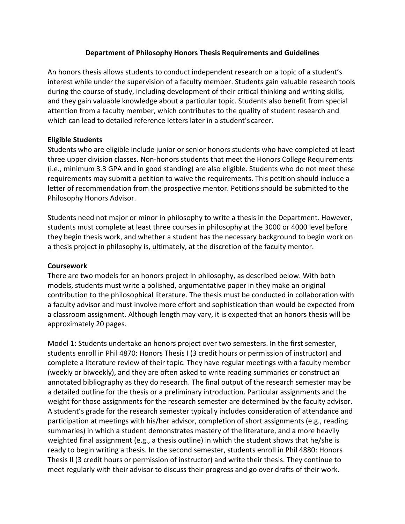## **Department of Philosophy Honors Thesis Requirements and Guidelines**

An honors thesis allows students to conduct independent research on a topic of a student's interest while under the supervision of a faculty member. Students gain valuable research tools during the course of study, including development of their critical thinking and writing skills, and they gain valuable knowledge about a particular topic. Students also benefit from special attention from a faculty member, which contributes to the quality of student research and which can lead to detailed reference letters later in a student's career.

## **Eligible Students**

Students who are eligible include junior or senior honors students who have completed at least three upper division classes. Non-honors students that meet the Honors College Requirements (i.e., minimum 3.3 GPA and in good standing) are also eligible. Students who do not meet these requirements may submit a petition to waive the requirements. This petition should include a letter of recommendation from the prospective mentor. Petitions should be submitted to the Philosophy Honors Advisor.

Students need not major or minor in philosophy to write a thesis in the Department. However, students must complete at least three courses in philosophy at the 3000 or 4000 level before they begin thesis work, and whether a student has the necessary background to begin work on a thesis project in philosophy is, ultimately, at the discretion of the faculty mentor.

## **Coursework**

There are two models for an honors project in philosophy, as described below. With both models, students must write a polished, argumentative paper in they make an original contribution to the philosophical literature. The thesis must be conducted in collaboration with a faculty advisor and must involve more effort and sophistication than would be expected from a classroom assignment. Although length may vary, it is expected that an honors thesis will be approximately 20 pages.

Model 1: Students undertake an honors project over two semesters. In the first semester, students enroll in Phil 4870: Honors Thesis I (3 credit hours or permission of instructor) and complete a literature review of their topic. They have regular meetings with a faculty member (weekly or biweekly), and they are often asked to write reading summaries or construct an annotated bibliography as they do research. The final output of the research semester may be a detailed outline for the thesis or a preliminary introduction. Particular assignments and the weight for those assignments for the research semester are determined by the faculty advisor. A student's grade for the research semester typically includes consideration of attendance and participation at meetings with his/her advisor, completion of short assignments (e.g., reading summaries) in which a student demonstrates mastery of the literature, and a more heavily weighted final assignment (e.g., a thesis outline) in which the student shows that he/she is ready to begin writing a thesis. In the second semester, students enroll in Phil 4880: Honors Thesis II (3 credit hours or permission of instructor) and write their thesis. They continue to meet regularly with their advisor to discuss their progress and go over drafts of their work.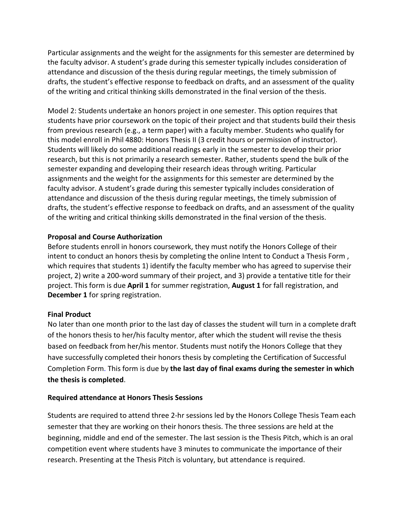Particular assignments and the weight for the assignments for this semester are determined by the faculty advisor. A student's grade during this semester typically includes consideration of attendance and discussion of the thesis during regular meetings, the timely submission of drafts, the student's effective response to feedback on drafts, and an assessment of the quality of the writing and critical thinking skills demonstrated in the final version of the thesis.

Model 2: Students undertake an honors project in one semester. This option requires that students have prior coursework on the topic of their project and that students build their thesis from previous research (e.g., a term paper) with a faculty member. Students who qualify for this model enroll in Phil 4880: Honors Thesis II (3 credit hours or permission of instructor). Students will likely do some additional readings early in the semester to develop their prior research, but this is not primarily a research semester. Rather, students spend the bulk of the semester expanding and developing their research ideas through writing. Particular assignments and the weight for the assignments for this semester are determined by the faculty advisor. A student's grade during this semester typically includes consideration of attendance and discussion of the thesis during regular meetings, the timely submission of drafts, the student's effective response to feedback on drafts, and an assessment of the quality of the writing and critical thinking skills demonstrated in the final version of the thesis.

## **Proposal and Course Authorization**

Before students enroll in honors coursework, they must notify the Honors College of their intent to conduct an honors thesis by completing the online Intent to Conduct a Thesis Form , which requires that students 1) identify the faculty member who has agreed to supervise their project, 2) write a 200-word summary of their project, and 3) provide a tentative title for their project. This form is due **April 1** for summer registration, **August 1** for fall registration, and **December 1** for spring registration.

# **Final Product**

No later than one month prior to the last day of classes the student will turn in a complete draft of the honors thesis to her/his faculty mentor, after which the student will revise the thesis based on feedback from her/his mentor. Students must notify the Honors College that they have successfully completed their honors thesis by completing the Certification of Successful Completion Form. This form is due by **the last day of final exams during the semester in which the thesis is completed**.

## **Required attendance at Honors Thesis Sessions**

Students are required to attend three 2-hr sessions led by the Honors College Thesis Team each semester that they are working on their honors thesis. The three sessions are held at the beginning, middle and end of the semester. The last session is the Thesis Pitch, which is an oral competition event where students have 3 minutes to communicate the importance of their research. Presenting at the Thesis Pitch is voluntary, but attendance is required.